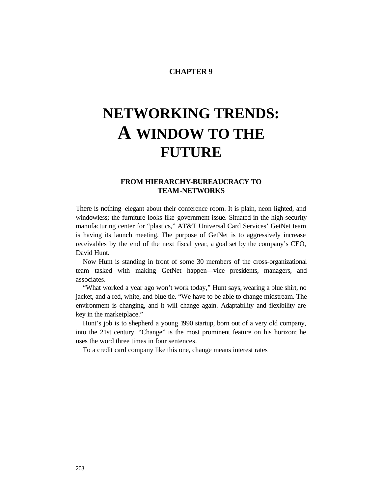# **CHAPTER 9**

# **NETWORKING TRENDS: A WINDOW TO THE FUTURE**

# **FROM HIERARCHY-BUREAUCRACY TO TEAM-NETWORKS**

There is nothing elegant about their conference room. It is plain, neon lighted, and windowless; the furniture looks like government issue. Situated in the high-security manufacturing center for "plastics," AT&T Universal Card Services' GetNet team is having its launch meeting. The purpose of GetNet is to aggressively increase receivables by the end of the next fiscal year, a goal set by the company's CEO, David Hunt.

Now Hunt is standing in front of some 30 members of the cross-organizational team tasked with making GetNet happen—vice presidents, managers, and associates.

"What worked a year ago won't work today," Hunt says, wearing a blue shirt, no jacket, and a red, white, and blue tie. "We have to be able to change midstream. The environment is changing, and it will change again. Adaptability and flexibility are key in the marketplace."

Hunt's job is to shepherd a young 1990 startup, born out of a very old company, into the 21st century. "Change" is the most prominent feature on his horizon; he uses the word three times in four sentences.

To a credit card company like this one, change means interest rates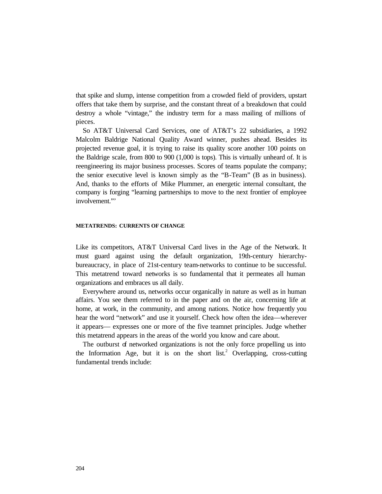that spike and slump, intense competition from a crowded field of providers, upstart offers that take them by surprise, and the constant threat of a breakdown that could destroy a whole "vintage," the industry term for a mass mailing of millions of pieces.

So AT&T Universal Card Services, one of AT&T's 22 subsidiaries, a 1992 Malcolm Baldrige National Quality Award winner, pushes ahead. Besides its projected revenue goal, it is trying to raise its quality score another 100 points on the Baldrige scale, from 800 to 900 (1,000 is tops). This is virtually unheard of. It is reengineering its major business processes. Scores of teams populate the company; the senior executive level is known simply as the "B-Team" (B as in business). And, thanks to the efforts of Mike Plummer, an energetic internal consultant, the company is forging "learning partnerships to move to the next frontier of employee involvement."'

#### **METATRENDS: CURRENTS OF CHANGE**

Like its competitors, AT&T Universal Card lives in the Age of the Network. It must guard against using the default organization, 19th-century hierarchybureaucracy, in place of 21st-century team-networks to continue to be successful. This metatrend toward networks is so fundamental that it permeates all human organizations and embraces us all daily.

Everywhere around us, networks occur organically in nature as well as in human affairs. You see them referred to in the paper and on the air, concerning life at home, at work, in the community, and among nations. Notice how frequently you hear the word "network" and use it yourself. Check how often the idea—wherever it appears— expresses one or more of the five teamnet principles. Judge whether this metatrend appears in the areas of the world you know and care about.

The outburst of networked organizations is not the only force propelling us into the Information Age, but it is on the short list.<sup>2</sup> Overlapping, cross-cutting fundamental trends include: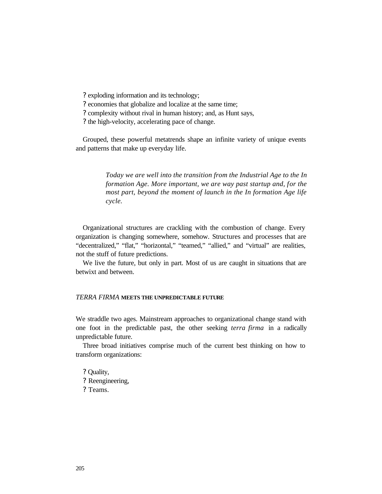? exploding information and its technology;

? economies that globalize and localize at the same time;

? complexity without rival in human history; and, as Hunt says,

? the high-velocity, accelerating pace of change.

Grouped, these powerful metatrends shape an infinite variety of unique events and patterns that make up everyday life.

> *Today we are well into the transition from the Industrial Age to the In formation Age. More important, we are way past startup and, for the most part, beyond the moment of launch in the In formation Age life cycle.*

Organizational structures are crackling with the combustion of change. Every organization is changing somewhere, somehow. Structures and processes that are "decentralized," "flat," "horizontal," "teamed," "allied," and "virtual" are realities, not the stuff of future predictions.

We live the future, but only in part. Most of us are caught in situations that are betwixt and between.

#### *TERRA FIRMA* **MEETS THE UNPREDICTABLE FUTURE**

We straddle two ages. Mainstream approaches to organizational change stand with one foot in the predictable past, the other seeking *terra firma* in a radically unpredictable future.

Three broad initiatives comprise much of the current best thinking on how to transform organizations:

? Quality,

? Reengineering,

? Teams.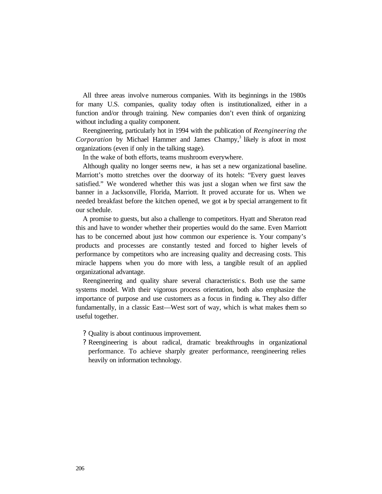All three areas involve numerous companies. With its beginnings in the 1980s for many U.S. companies, quality today often is institutionalized, either in a function and/or through training. New companies don't even think of organizing without including a quality component.

Reengineering, particularly hot in 1994 with the publication of *Reengineering the Corporation* by Michael Hammer and James Champy,<sup>3</sup> likely is afoot in most organizations (even if only in the talking stage).

In the wake of both efforts, teams mushroom everywhere.

Although quality no longer seems new, **it** has set a new organizational baseline. Marriott's motto stretches over the doorway of its hotels: "Every guest leaves satisfied." We wondered whether this was just a slogan when we first saw the banner in a Jacksonville, Florida, Marriott. It proved accurate for us. When we needed breakfast before the kitchen opened, we got **it** by special arrangement to fit our schedule.

A promise to guests, but also a challenge to competitors. Hyatt and Sheraton read this and have to wonder whether their properties would do the same. Even Marriott has to be concerned about just how common our experience is. Your company's products and processes are constantly tested and forced to higher levels of performance by competitors who are increasing quality and decreasing costs. This miracle happens when you do more with less, a tangible result of an applied organizational advantage.

Reengineering and quality share several characteristic s. Both use the same systems model. With their vigorous process orientation, both also emphasize the importance of purpose and use customers as a focus in finding **it.** They also differ fundamentally, in a classic East—West sort of way, which is what makes them so useful together.

- ? Quality is about continuous improvement.
- ? Reengineering is about radical, dramatic breakthroughs in organizational performance. To achieve sharply greater performance, reengineering relies heavily on information technology.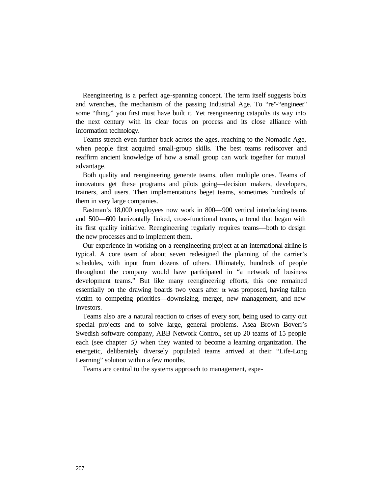Reengineering is a perfect age-spanning concept. The term itself suggests bolts and wrenches, the mechanism of the passing Industrial Age. To "re"-"engineer" some "thing," you first must have built it. Yet reengineering catapults its way into the next century with its clear focus on process and its close alliance with information technology.

Teams stretch even further back across the ages, reaching to the Nomadic Age, when people first acquired small-group skills. The best teams rediscover and reaffirm ancient knowledge of how a small group can work together for mutual advantage.

Both quality and reengineering generate teams, often multiple ones. Teams of innovators get these programs and pilots going—decision makers, developers, trainers, and users. Then implementations beget teams, sometimes hundreds of them in very large companies.

Eastman's 18,000 employees now work in 800—900 vertical interlocking teams and 500—600 horizontally linked, cross-functional teams, a trend that began with its first quality initiative. Reengineering regularly requires teams—both to design the new processes and to implement them.

Our experience in working on a reengineering project at an international airline is typical. A core team of about seven redesigned the planning of the carrier's schedules, with input from dozens of others. Ultimately, hundreds of people throughout the company would have participated in "a network of business development teams." But like many reengineering efforts, this one remained essentially on the drawing boards two years after **it** was proposed, having fallen victim to competing priorities—downsizing, merger, new management, and new investors.

Teams also are a natural reaction to crises of every sort, being used to carry out special projects and to solve large, general problems. Asea Brown Boveri's Swedish software company, ABB Network Control, set up 20 teams of 15 people each (see chapter *5)* when they wanted to become a learning organization. The energetic, deliberately diversely populated teams arrived at their "Life-Long Learning" solution within a few months.

Teams are central to the systems approach to management, espe-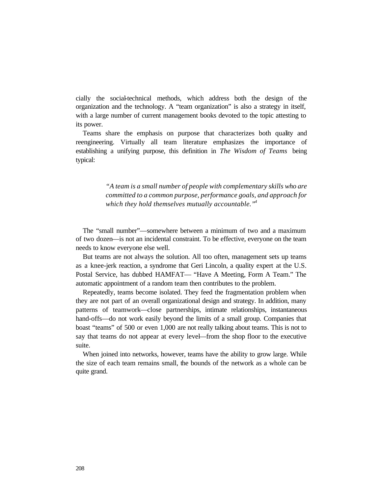cially the social-technical methods, which address both the design of the organization and the technology. A "team organization" is also a strategy in itself, with a large number of current management books devoted to the topic attesting to its power.

Teams share the emphasis on purpose that characterizes both quality and reengineering. Virtually all team literature emphasizes the importance of establishing a unifying purpose, this definition in *The Wisdom of Teams* being typical:

> *"A team is a small number of people with complementary skills who are committed to a common purpose, performance goals, and approach for which they hold themselves mutually accountable."<sup>4</sup>*

The "small number"—somewhere between a minimum of two and a maximum of two dozen—is not an incidental constraint. To be effective, everyone on the team needs to know everyone else well.

But teams are not always the solution. All too often, management sets up teams as a knee-jerk reaction, a syndrome that Geri Lincoln, a quality expert at the U.S. Postal Service, has dubbed HAMFAT— "Have A Meeting, Form A Team." The automatic appointment of a random team then contributes to the problem.

Repeatedly, teams become isolated. They feed the fragmentation problem when they are not part of an overall organizational design and strategy. In addition, many patterns of teamwork—close partnerships, intimate relationships, instantaneous hand-offs—do not work easily beyond the limits of a small group. Companies that boast "teams" of 500 or even 1,000 are not really talking about teams. This is not to say that teams do not appear at every level—from the shop floor to the executive suite.

When joined into networks, however, teams have the ability to grow large. While the size of each team remains small, the bounds of the network as a whole can be quite grand.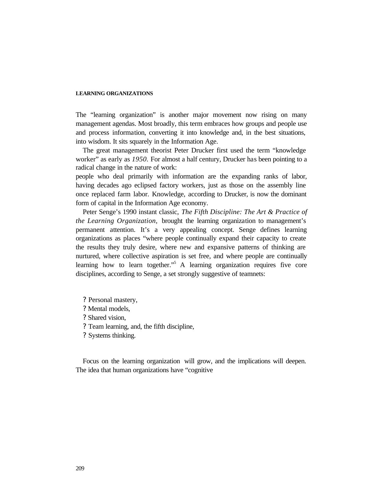#### **LEARNING ORGANIZATIONS**

The "learning organization" is another major movement now rising on many management agendas. Most broadly, this term embraces how groups and people use and process information, converting it into knowledge and, in the best situations, into wisdom. It sits squarely in the Information Age.

The great management theorist Peter Drucker first used the term "knowledge worker" as early as *1950.* For almost a half century, Drucker has been pointing to a radical change in the nature of work:

people who deal primarily with information are the expanding ranks of labor, having decades ago eclipsed factory workers, just as those on the assembly line once replaced farm labor. Knowledge, according to Drucker, is now the dominant form of capital in the Information Age economy.

Peter Senge's 1990 instant classic, *The Fifth Discipline: The Art & Practice of the Learning Organization,* brought the learning organization to management's permanent attention. It's a very appealing concept. Senge defines learning organizations as places "where people continually expand their capacity to create the results they truly desire, where new and expansive patterns of thinking are nurtured, where collective aspiration is set free, and where people are continually learning how to learn together."<sup>5</sup> A learning organization requires five core disciplines, according to Senge, a set strongly suggestive of teamnets:

- ? Personal mastery,
- ? Mental models,
- ? Shared vision,
- ? Team learning, and, the fifth discipline,
- ? Systems thinking.

Focus on the learning organization will grow, and the implications will deepen. The idea that human organizations have "cognitive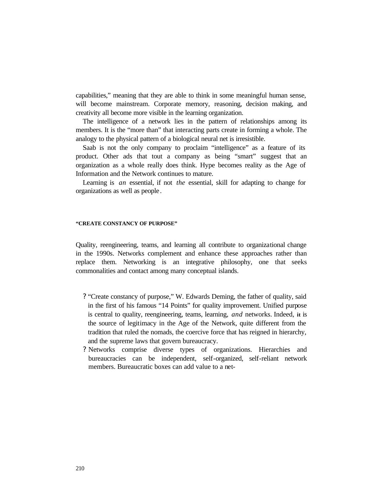capabilities," meaning that they are able to think in some meaningful human sense, will become mainstream. Corporate memory, reasoning, decision making, and creativity all become more visible in the learning organization.

The intelligence of a network lies in the pattern of relationships among its members. It is the "more than" that interacting parts create in forming a whole. The analogy to the physical pattern of a biological neural net is irresistible.

Saab is not the only company to proclaim "intelligence" as a feature of its product. Other ads that tout a company as being "smart" suggest that an organization as a whole really does think. Hype becomes reality as the Age of Information and the Network continues to mature.

Learning is *an* essential, if not *the* essential, skill for adapting to change for organizations as well as people.

#### **"CREATE CONSTANCY OF PURPOSE"**

Quality, reengineering, teams, and learning all contribute to organizational change in the 1990s. Networks complement and enhance these approaches rather than replace them. Networking is an integrative philosophy, one that seeks commonalities and contact among many conceptual islands.

- ? "Create constancy of purpose," W. Edwards Deming, the father of quality, said in the first of his famous "14 Points" for quality improvement. Unified purpose is central to quality, reengineering, teams, learning, *and* networks. Indeed, **it** is the source of legitimacy in the Age of the Network, quite different from the tradition that ruled the nomads, the coercive force that has reigned in hierarchy, and the supreme laws that govern bureaucracy.
- ? Networks comprise diverse types of organizations. Hierarchies and bureaucracies can be independent, self-organized, self-reliant network members. Bureaucratic boxes can add value to a net-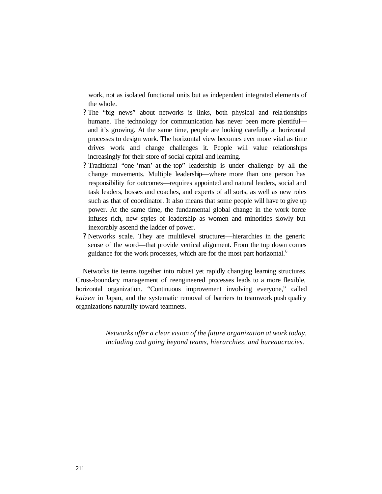work, not as isolated functional units but as independent integrated elements of the whole.

- ? The "big news" about networks is links, both physical and relationships humane. The technology for communication has never been more plentiful and it's growing. At the same time, people are looking carefully at horizontal processes to design work. The horizontal view becomes ever more vital as time drives work and change challenges it. People will value relationships increasingly for their store of social capital and learning.
- ? Traditional "one-'man'-at-the-top" leadership is under challenge by all the change movements. Multiple leadership—where more than one person has responsibility for outcomes—requires appointed and natural leaders, social and task leaders, bosses and coaches, and experts of all sorts, as well as new roles such as that of coordinator. It also means that some people will have to give up power. At the same time, the fundamental global change in the work force infuses rich, new styles of leadership as women and minorities slowly but inexorably ascend the ladder of power.
- ? Networks scale. They are multilevel structures—hierarchies in the generic sense of the word—that provide vertical alignment. From the top down comes guidance for the work processes, which are for the most part horizontal.<sup>6</sup>

Networks tie teams together into robust yet rapidly changing learning structures. Cross-boundary management of reengineered processes leads to a more flexible, horizontal organization. "Continuous improvement involving everyone," called *kaizen* in Japan, and the systematic removal of barriers to teamwork push quality organizations naturally toward teamnets.

> *Networks offer a clear vision of the future organization at work today, including and going beyond teams, hierarchies, and bureaucracies.*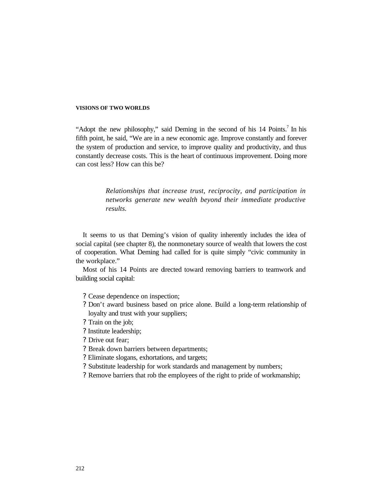#### **VISIONS OF TWO WORLDS**

"Adopt the new philosophy," said Deming in the second of his 14 Points.<sup>7</sup> In his fifth point, he said, "We are in a new economic age. Improve constantly and forever the system of production and service, to improve quality and productivity, and thus constantly decrease costs. This is the heart of continuous improvement. Doing more can cost less? How can this be?

> *Relationships that increase trust, reciprocity, and participation in networks generate new wealth beyond their immediate productive results.*

It seems to us that Deming's vision of quality inherently includes the idea of social capital (see chapter 8), the nonmonetary source of wealth that lowers the cost of cooperation. What Deming had called for is quite simply "civic community in the workplace."

Most of his 14 Points are directed toward removing barriers to teamwork and building social capital:

- ? Cease dependence on inspection;
- ? Don't award business based on price alone. Build a long-term relationship of loyalty and trust with your suppliers;
- ? Train on the job;
- ? Institute leadership;
- ? Drive out fear;
- ? Break down barriers between departments;
- ? Eliminate slogans, exhortations, and targets;
- ? Substitute leadership for work standards and management by numbers;
- ? Remove barriers that rob the employees of the right to pride of workmanship;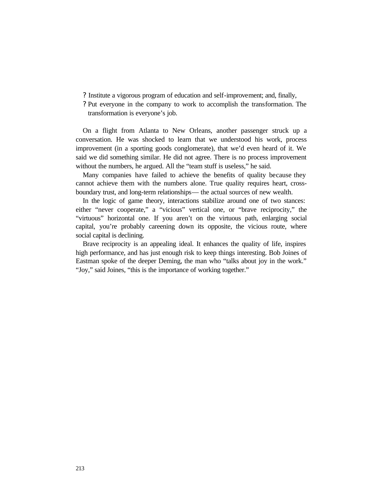- ? Institute a vigorous program of education and self-improvement; and, finally,
- ? Put everyone in the company to work to accomplish the transformation. The transformation is everyone's job.

On a flight from Atlanta to New Orleans, another passenger struck up a conversation. He was shocked to learn that we understood his work, process improvement (in a sporting goods conglomerate), that we'd even heard of it. We said we did something similar. He did not agree. There is no process improvement without the numbers, he argued. All the "team stuff is useless," he said.

Many companies have failed to achieve the benefits of quality because they cannot achieve them with the numbers alone. True quality requires heart, crossboundary trust, and long-term relationships— the actual sources of new wealth.

In the logic of game theory, interactions stabilize around one of two stances: either "never cooperate," a "vicious" vertical one, or "brave reciprocity," the "virtuous" horizontal one. If you aren't on the virtuous path, enlarging social capital, you're probably careening down its opposite, the vicious route, where social capital is declining.

Brave reciprocity is an appealing ideal. It enhances the quality of life, inspires high performance, and has just enough risk to keep things interesting. Bob Joines of Eastman spoke of the deeper Deming, the man who "talks about joy in the work." "Joy," said Joines, "this is the importance of working together."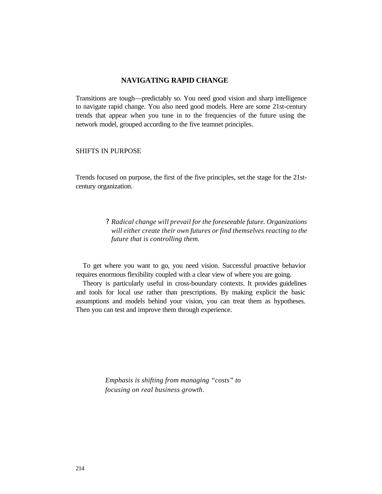# **NAVIGATING RAPID CHANGE**

Transitions are tough—predictably so. You need good vision and sharp intelligence to navigate rapid change. You also need good models. Here are some 21st-century trends that appear when you tune in to the frequencies of the future using the network model, grouped according to the five teamnet principles.

## SHIFTS IN PURPOSE

Trends focused on purpose, the first of the five principles, set the stage for the 21stcentury organization.

> *? Radical change will prevail for the foreseeable future. Organizations will either create their own futures or find themselves reacting to the future that is controlling them.*

To get where you want to go, you need vision. Successful proactive behavior requires enormous flexibility coupled with a clear view of where you are going.

Theory is particularly useful in cross-boundary contexts. It provides guidelines and tools for local use rather than prescriptions. By making explicit the basic assumptions and models behind your vision, you can treat them as hypotheses. Then you can test and improve them through experience.

> *Emphasis is shifting from managing "costs" to focusing on real business growth.*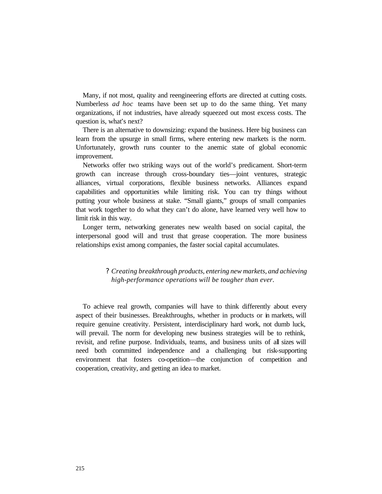Many, if not most, quality and reengineering efforts are directed at cutting costs. Numberless *ad hoc* teams have been set up to do the same thing. Yet many organizations, if not industries, have already squeezed out most excess costs. The question is, what's next?

There is an alternative to downsizing: expand the business. Here big business can learn from the upsurge in small firms, where entering new markets is the norm. Unfortunately, growth runs counter to the anemic state of global economic improvement.

Networks offer two striking ways out of the world's predicament. Short-term growth can increase through cross-boundary ties—joint ventures, strategic alliances, virtual corporations, flexible business networks. Alliances expand capabilities and opportunities while limiting risk. You can try things without putting your whole business at stake. "Small giants," groups of small companies that work together to do what they can't do alone, have learned very well how to limit risk in this way.

Longer term, networking generates new wealth based on social capital, the interpersonal good will and trust that grease cooperation. The more business relationships exist among companies, the faster social capital accumulates.

## *? Creating breakthrough products, entering new markets, and achieving high-performance operations will be tougher than ever.*

To achieve real growth, companies will have to think differently about every aspect of their businesses. Breakthroughs, whether in products or in markets, will require genuine creativity. Persistent, interdisciplinary hard work, not dumb luck, will prevail. The norm for developing new business strategies will be to rethink, revisit, and refine purpose. Individuals, teams, and business units of all sizes will need both committed independence and a challenging but risk-supporting environment that fosters co-opetition—the conjunction of competition and cooperation, creativity, and getting an idea to market.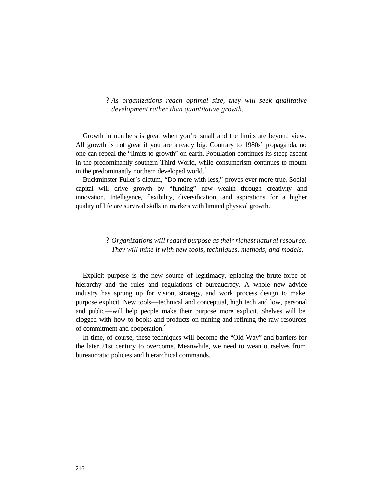*? As organizations reach optimal size, they will seek qualitative development rather than quantitative growth.*

Growth in numbers is great when you're small and the limits are beyond view. All growth is not great if you are already big. Contrary to 1980s' propaganda, no one can repeal the "limits to growth" on earth. Population continues its steep ascent in the predominantly southern Third World, while consumerism continues to mount in the predominantly northern developed world.<sup>8</sup>

Buckminster Fuller's dictum, "Do more with less," proves ever more true. Social capital will drive growth by "funding" new wealth through creativity and innovation. Intelligence, flexibility, diversification, and aspirations for a higher quality of life are survival skills in markets with limited physical growth.

# *? Organizations will regard purpose as their richest natural resource. They will mine it with new tools, techniques, methods, and models.*

Explicit purpose is the new source of legitimacy, replacing the brute force of hierarchy and the rules and regulations of bureaucracy. A whole new advice industry has sprung up for vision, strategy, and work process design to make purpose explicit. New tools—technical and conceptual, high tech and low, personal and public—will help people make their purpose more explicit. Shelves will be clogged with how-to books and products on mining and refining the raw resources of commitment and cooperation.<sup>9</sup>

In time, of course, these techniques will become the "Old Way" and barriers for the later 21st century to overcome. Meanwhile, we need to wean ourselves from bureaucratic policies and hierarchical commands.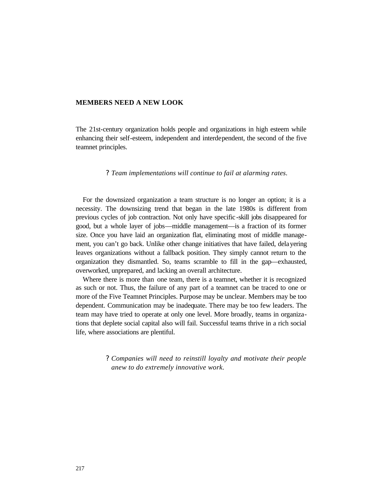## **MEMBERS NEED A NEW LOOK**

The 21st-century organization holds people and organizations in high esteem while enhancing their self-esteem, independent and interdependent, the second of the five teamnet principles.

*? Team implementations will continue to fail at alarming rates.*

For the downsized organization a team structure is no longer an option; it is a necessity. The downsizing trend that began in the late 1980s is different from previous cycles of job contraction. Not only have specific -skill jobs disappeared for good, but a whole layer of jobs—middle management—is a fraction of its former size. Once you have laid an organization flat, eliminating most of middle management, you can't go back. Unlike other change initiatives that have failed, delayering leaves organizations without a fallback position. They simply cannot return to the organization they dismantled. So, teams scramble to fill in the gap—exhausted, overworked, unprepared, and lacking an overall architecture.

Where there is more than one team, there is a teamnet, whether it is recognized as such or not. Thus, the failure of any part of a teamnet can be traced to one or more of the Five Teamnet Principles. Purpose may be unclear. Members may be too dependent. Communication may be inadequate. There may be too few leaders. The team may have tried to operate at only one level. More broadly, teams in organizations that deplete social capital also will fail. Successful teams thrive in a rich social life, where associations are plentiful.

> *? Companies will need to reinstill loyalty and motivate their people anew to do extremely innovative work.*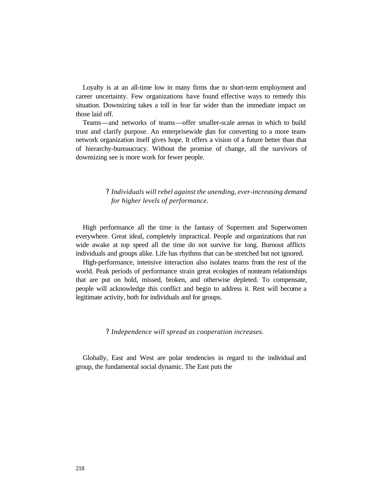Loyalty is at an all-time low in many firms due to short-term employment and career uncertainty. Few organizations have found effective ways to remedy this situation. Downsizing takes a toll in fear far wider than the immediate impact on those laid off.

Teams—and networks of teams—offer smaller-scale arenas in which to build trust and clarify purpose. An enterprisewide plan for converting to a more teamnetwork organization itself gives hope. It offers a vision of a future better than that of hierarchy-bureaucracy. Without the promise of change, all the survivors of downsizing see is more work for fewer people.

## *? Individuals will rebel against the unending, ever-increasing demand for higher levels of performance.*

High performance all the time is the fantasy of Supermen and Superwomen everywhere. Great ideal, completely impractical. People and organizations that run wide awake at top speed all the time do not survive for long. Burnout afflicts individuals and groups alike. Life has rhythms that can be stretched but not ignored.

High-performance, intensive interaction also isolates teams from the rest of the world. Peak periods of performance strain great ecologies of nonteam relationships that are put on hold, missed, broken, and otherwise depleted. To compensate, people will acknowledge this conflict and begin to address it. Rest will become a legitimate activity, both for individuals and for groups.

#### *? Independence will spread as cooperation increases.*

Globally, East and West are polar tendencies in regard to the individual and group, the fundamental social dynamic. The East puts the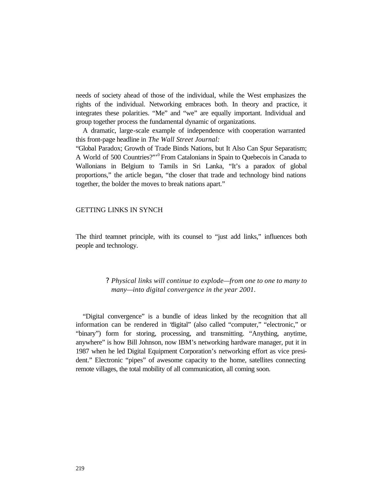needs of society ahead of those of the individual, while the West emphasizes the rights of the individual. Networking embraces both. In theory and practice, it integrates these polarities. "Me" and "we" are equally important. Individual and group together process the fundamental dynamic of organizations.

A dramatic, large-scale example of independence with cooperation warranted this front-page headline in *The Wall Street Journal:*

"Global Paradox; Growth of Trade Binds Nations, but It Also Can Spur Separatism; A World of 500 Countries?"<sup>3</sup> From Catalonians in Spain to Quebecois in Canada to Wallonians in Belgium to Tamils in Sri Lanka, "It's a paradox of global proportions," the article began, "the closer that trade and technology bind nations together, the bolder the moves to break nations apart."

### GETTING LINKS IN SYNCH

The third teamnet principle, with its counsel to "just add links," influences both people and technology.

> *? Physical links will continue to explode—from one to one to many to many—into digital convergence in the year 2001.*

"Digital convergence" is a bundle of ideas linked by the recognition that all information can be rendered in "digital" (also called "computer," "electronic," or "binary") form for storing, processing, and transmitting. "Anything, anytime, anywhere" is how Bill Johnson, now IBM's networking hardware manager, put it in 1987 when he led Digital Equipment Corporation's networking effort as vice president." Electronic "pipes" of awesome capacity to the home, satellites connecting remote villages, the total mobility of all communication, all coming soon.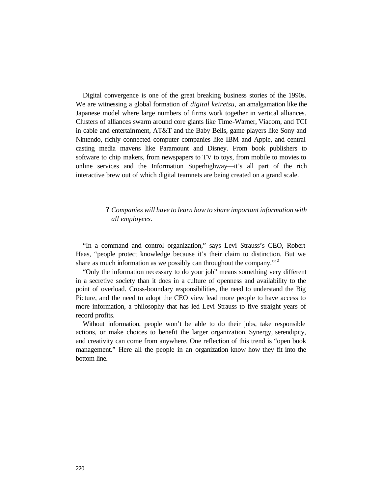Digital convergence is one of the great breaking business stories of the 1990s. We are witnessing a global formation of *digital keiretsu,* an amalgamation like the Japanese model where large numbers of firms work together in vertical alliances. Clusters of alliances swarm around core giants like Time-Warner, Viacom, and TCI in cable and entertainment, AT&T and the Baby Bells, game players like Sony and Nintendo, richly connected computer companies like IBM and Apple, and central casting media mavens like Paramount and Disney. From book publishers to software to chip makers, from newspapers to TV to toys, from mobile to movies to online services and the Information Superhighway—it's all part of the rich interactive brew out of which digital teamnets are being created on a grand scale.

## *? Companies will have to learn how to share important information with all employees.*

"In a command and control organization," says Levi Strauss's CEO, Robert Haas, "people protect knowledge because it's their claim to distinction. But we share as much information as we possibly can throughout the company."<sup>2</sup>

"Only the information necessary to do your job" means something very different in a secretive society than it does in a culture of openness and availability to the point of overload. Cross-boundary responsibilities, the need to understand the Big Picture, and the need to adopt the CEO view lead more people to have access to more information, a philosophy that has led Levi Strauss to five straight years of record profits.

Without information, people won't be able to do their jobs, take responsible actions, or make choices to benefit the larger organization. Synergy, serendipity, and creativity can come from anywhere. One reflection of this trend is "open book management." Here all the people in an organization know how they fit into the bottom line.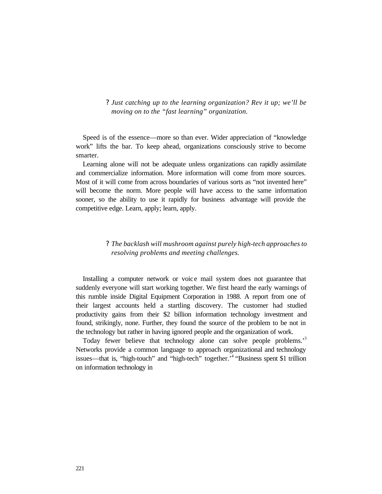*? Just catching up to the learning organization? Rev it up; we'll be moving on to the "fast learning" organization.*

Speed is of the essence—more so than ever. Wider appreciation of "knowledge work" lifts the bar. To keep ahead, organizations consciously strive to become smarter.

Learning alone will not be adequate unless organizations can rapidly assimilate and commercialize information. More information will come from more sources. Most of it will come from across boundaries of various sorts as "not invented here" will become the norm. More people will have access to the same information sooner, so the ability to use it rapidly for business advantage will provide the competitive edge. Learn, apply; learn, apply.

# *? The backlash will mushroom against purely high-tech approaches to resolving problems and meeting challenges.*

Installing a computer network or voice mail system does not guarantee that suddenly everyone will start working together. We first heard the early warnings of this rumble inside Digital Equipment Corporation in 1988. A report from one of their largest accounts held a startling discovery. The customer had studied productivity gains from their \$2 billion information technology investment and found, strikingly, none. Further, they found the source of the problem to be not in the technology but rather in having ignored people and the organization of work.

Today fewer believe that technology alone can solve people problems.'<sup>3</sup> Networks provide a common language to approach organizational and technology issues—that is, "high-touch" and "high-tech" together.'<sup>4</sup>"Business spent \$1 trillion on information technology in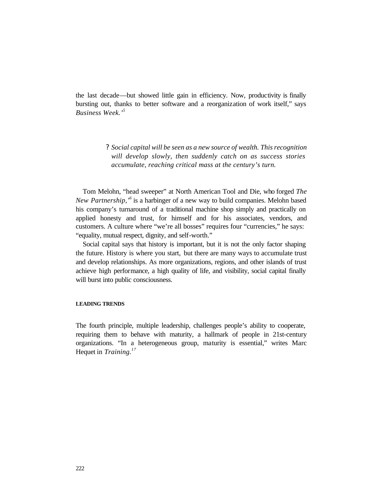the last decade—but showed little gain in efficiency. Now, productivity is finally bursting out, thanks to better software and a reorganization of work itself," says *Business Week.'<sup>5</sup>*

> *? Social capital will be seen as a new source of wealth. This recognition will develop slowly, then suddenly catch on as success stories accumulate, reaching critical mass at the century's turn.*

Tom Melohn, "head sweeper" at North American Tool and Die, who forged *The New Partnership,'<sup>6</sup>*is a harbinger of a new way to build companies. Melohn based his company's turnaround of a traditional machine shop simply and practically on applied honesty and trust, for himself and for his associates, vendors, and customers. A culture where "we're all bosses" requires four "currencies," he says: "equality, mutual respect, dignity, and self-worth."

Social capital says that history is important, but it is not the only factor shaping the future. History is where you start, but there are many ways to accumulate trust and develop relationships. As more organizations, regions, and other islands of trust achieve high performance, a high quality of life, and visibility, social capital finally will burst into public consciousness.

#### **LEADING TRENDS**

The fourth principle, multiple leadership, challenges people's ability to cooperate, requiring them to behave with maturity, a hallmark of people in 21st-century organizations. "In a heterogeneous group, maturity is essential," writes Marc Hequet in *Training.<sup>17</sup>*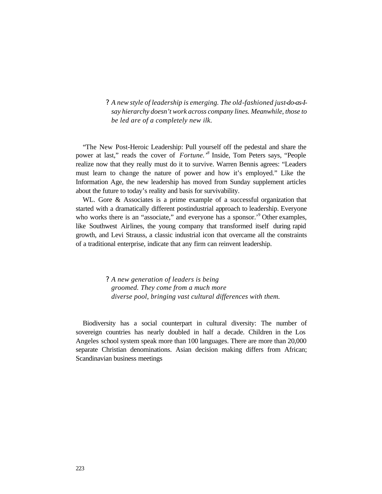*? A new style of leadership is emerging. The old-fashioned just-do-as-Isay hierarchy doesn't work across company lines. Meanwhile, those to be led are of a completely new ilk.*

"The New Post-Heroic Leadership: Pull yourself off the pedestal and share the power at last," reads the cover of *Fortune.'<sup>8</sup>*Inside, Tom Peters says, "People realize now that they really must do it to survive. Warren Bennis agrees: "Leaders must learn to change the nature of power and how it's employed." Like the Information Age, the new leadership has moved from Sunday supplement articles about the future to today's reality and basis for survivability.

WL. Gore & Associates is a prime example of a successful organization that started with a dramatically different postindustrial approach to leadership. Everyone who works there is an "associate," and everyone has a sponsor.<sup>9</sup> Other examples, like Southwest Airlines, the young company that transformed itself during rapid growth, and Levi Strauss, a classic industrial icon that overcame all the constraints of a traditional enterprise, indicate that any firm can reinvent leadership.

> *? A new generation of leaders is being groomed. They come from a much more diverse pool, bringing vast cultural differences with them.*

Biodiversity has a social counterpart in cultural diversity: The number of sovereign countries has nearly doubled in half a decade. Children in the Los Angeles school system speak more than 100 languages. There are more than 20,000 separate Christian denominations. Asian decision making differs from African; Scandinavian business meetings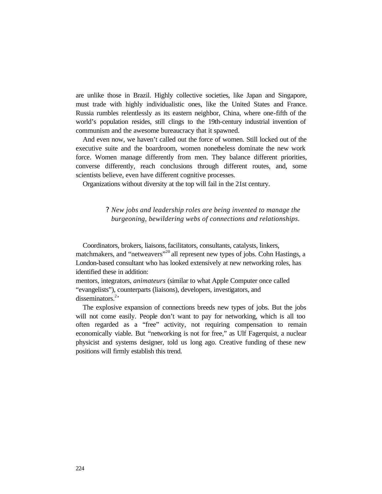are unlike those in Brazil. Highly collective societies, like Japan and Singapore, must trade with highly individualistic ones, like the United States and France. Russia rumbles relentlessly as its eastern neighbor, China, where one-fifth of the world's population resides, still clings to the 19th-century industrial invention of communism and the awesome bureaucracy that it spawned.

And even now, we haven't called out the force of women. Still locked out of the executive suite and the boardroom, women nonetheless dominate the new work force. Women manage differently from men. They balance different priorities, converse differently, reach conclusions through different routes, and, some scientists believe, even have different cognitive processes.

Organizations without diversity at the top will fail in the 21st century.

*? New jobs and leadership roles are being invented to manage the burgeoning, bewildering webs of connections and relationships.*

Coordinators, brokers, liaisons, facilitators, consultants, catalysts, linkers, matchmakers, and "netweavers"<sup>20</sup> all represent new types of jobs. Cohn Hastings, a London-based consultant who has looked extensively at new networking roles, has identified these in addition:

mentors, integrators, *animateurs* (similar to what Apple Computer once called "evangelists"), counterparts (liaisons), developers, investigators, and disseminators.<sup>2</sup>

The explosive expansion of connections breeds new types of jobs. But the jobs will not come easily. People don't want to pay for networking, which is all too often regarded as a "free" activity, not requiring compensation to remain economically viable. But "networking is not for free," as Ulf Fagerquist, a nuclear physicist and systems designer, told us long ago. Creative funding of these new positions will firmly establish this trend.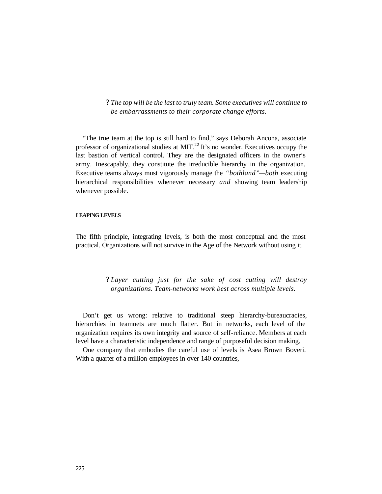*? The top will be the last to truly team. Some executives will continue to be embarrassments to their corporate change efforts.*

"The true team at the top is still hard to find," says Deborah Ancona, associate professor of organizational studies at MIT.<sup>22</sup> It's no wonder. Executives occupy the last bastion of vertical control. They are the designated officers in the owner's army. Inescapably, they constitute the irreducible hierarchy in the organization. Executive teams always must vigorously manage the *"bothland"—both* executing hierarchical responsibilities whenever necessary *and* showing team leadership whenever possible.

#### **LEAPING LEVELS**

The fifth principle, integrating levels, is both the most conceptual and the most practical. Organizations will not survive in the Age of the Network without using it.

> *? Layer cutting just for the sake of cost cutting will destroy organizations. Team-networks work best across multiple levels.*

Don't get us wrong: relative to traditional steep hierarchy-bureaucracies, hierarchies in teamnets are much flatter. But in networks, each level of the organization requires its own integrity and source of self-reliance. Members at each level have a characteristic independence and range of purposeful decision making.

One company that embodies the careful use of levels is Asea Brown Boveri. With a quarter of a million employees in over 140 countries,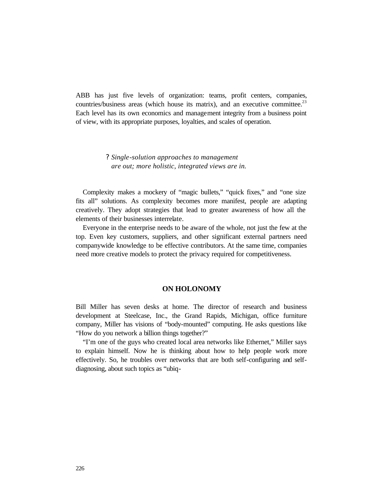ABB has just five levels of organization: teams, profit centers, companies, countries/business areas (which house its matrix), and an executive committee.<sup>23</sup> Each level has its own economics and management integrity from a business point of view, with its appropriate purposes, loyalties, and scales of operation.

> *? Single-solution approaches to management are out; more holistic, integrated views are in.*

Complexity makes a mockery of "magic bullets," "quick fixes," and "one size fits all" solutions. As complexity becomes more manifest, people are adapting creatively. They adopt strategies that lead to greater awareness of how all the elements of their businesses interrelate.

Everyone in the enterprise needs to be aware of the whole, not just the few at the top. Even key customers, suppliers, and other significant external partners need companywide knowledge to be effective contributors. At the same time, companies need more creative models to protect the privacy required for competitiveness.

## **ON HOLONOMY**

Bill Miller has seven desks at home. The director of research and business development at Steelcase, Inc., the Grand Rapids, Michigan, office furniture company, Miller has visions of "body-mounted" computing. He asks questions like "How do you network a billion things together?"

"I'm one of the guys who created local area networks like Ethernet," Miller says to explain himself. Now he is thinking about how to help people work more effectively. So, he troubles over networks that are both self-configuring and selfdiagnosing, about such topics as "ubiq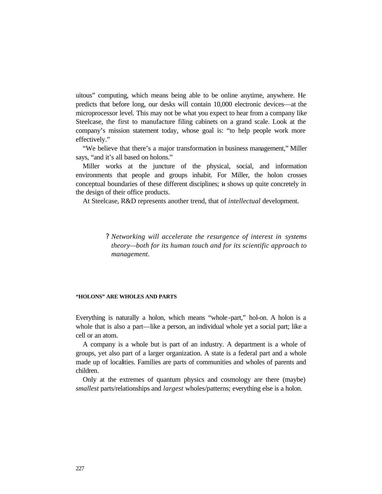uitous" computing, which means being able to be online anytime, anywhere. He predicts that before long, our desks will contain 10,000 electronic devices—at the microprocessor level. This may not be what you expect to hear from a company like Steelcase, the first to manufacture filing cabinets on a grand scale. Look at the company's mission statement today, whose goal is: "to help people work more effectively."

"We believe that there's a major transformation in business management," Miller says, "and it's all based on holons."

Miller works at the juncture of the physical, social, and information environments that people and groups inhabit. For Miller, the holon crosses conceptual boundaries of these different disciplines; **it** shows up quite concretely in the design of their office products.

At Steelcase, R&D represents another trend, that of *intellectual* development.

*? Networking will accelerate the resurgence of interest in systems theory—both for its human touch and for its scientific approach to management.*

#### **"HOLONS" ARE WHOLES AND PARTS**

Everything is naturally a holon, which means "whole-part," hol-on. A holon is a whole that is also a part—like a person, an individual whole yet a social part; like a cell or an atom.

A company is a whole but is part of an industry. A department is a whole of groups, yet also part of a larger organization. A state is a federal part and a whole made up of localities. Families are parts of communities and wholes of parents and children.

Only at the extremes of quantum physics and cosmology are there (maybe) *smallest* parts/relationships and *largest* wholes/patterns; everything else is a holon.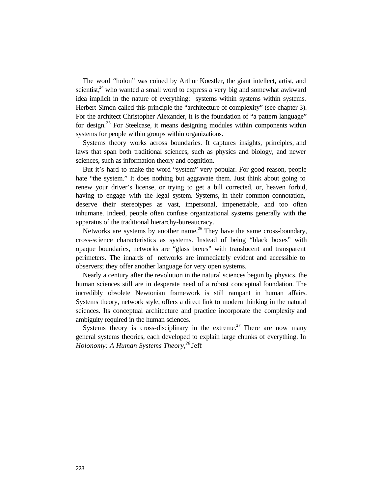The word "holon" was coined by Arthur Koestler, the giant intellect, artist, and scientist, $24$  who wanted a small word to express a very big and somewhat awkward idea implicit in the nature of everything: systems within systems within systems. Herbert Simon called this principle the "architecture of complexity" (see chapter 3). For the architect Christopher Alexander, it is the foundation of "a pattern language" for design.<sup>25</sup> For Steelcase, it means designing modules within components within systems for people within groups within organizations.

Systems theory works across boundaries. It captures insights, principles, and laws that span both traditional sciences, such as physics and biology, and newer sciences, such as information theory and cognition.

But it's hard to make the word "system" very popular. For good reason, people hate "the system." It does nothing but aggravate them. Just think about going to renew your driver's license, or trying to get a bill corrected, or, heaven forbid, having to engage with the legal system. Systems, in their common connotation, deserve their stereotypes as vast, impersonal, impenetrable, and too often inhumane. Indeed, people often confuse organizational systems generally with the apparatus of the traditional hierarchy-bureaucracy.

Networks are systems by another name.<sup>26</sup> They have the same cross-boundary, cross-science characteristics as systems. Instead of being "black boxes" with opaque boundaries, networks are "glass boxes" with translucent and transparent perimeters. The innards of networks are immediately evident and accessible to observers; they offer another language for very open systems.

Nearly a century after the revolution in the natural sciences begun by physics, the human sciences still are in desperate need of a robust conceptual foundation. The incredibly obsolete Newtonian framework is still rampant in human affairs. Systems theory, network style, offers a direct link to modern thinking in the natural sciences. Its conceptual architecture and practice incorporate the complexity and ambiguity required in the human sciences.

Systems theory is cross-disciplinary in the extreme.<sup>27</sup> There are now many general systems theories, each developed to explain large chunks of everything. In *Holonomy: A Human Systems Theory,<sup>28</sup>*Jeff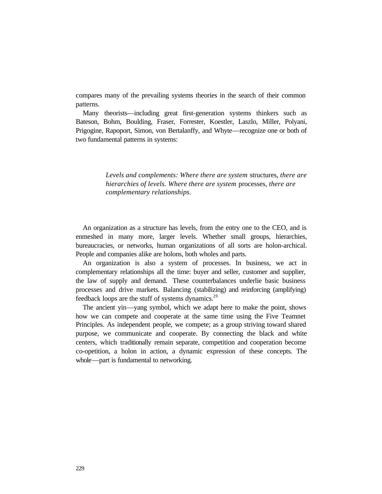compares many of the prevailing systems theories in the search of their common patterns.

Many theorists—including great first-generation systems thinkers such as Bateson, Bohm, Boulding, Fraser, Forrester, Koestler, Laszlo, Miller, Polyani, Prigogine, Rapoport, Simon, von Bertalanffy, and Whyte—recognize one or both of two fundamental patterns in systems:

> *Levels and complements: Where there are system* structures, *there are hierarchies of levels. Where there are system* processes, *there are complementary relationships.*

An organization as a structure has levels, from the entry one to the CEO, and is enmeshed in many more, larger levels. Whether small groups, hierarchies, bureaucracies, or networks, human organizations of all sorts are holon-archical. People and companies alike are holons, both wholes and parts.

An organization is also a system of processes. In business, we act in complementary relationships all the time: buyer and seller, customer and supplier, the law of supply and demand. These counterbalances underlie basic business processes and drive markets. Balancing (stabilizing) and reinforcing (amplifying) feedback loops are the stuff of systems dynamics.<sup>29</sup>

The ancient yin—yang symbol, which we adapt here to make the point, shows how we can compete and cooperate at the same time using the Five Teamnet Principles. As independent people, we compete; as a group striving toward shared purpose, we communicate and cooperate. By connecting the black and white centers, which traditionally remain separate, competition and cooperation become co-opetition, a holon in action, a dynamic expression of these concepts. The whole—part is fundamental to networking.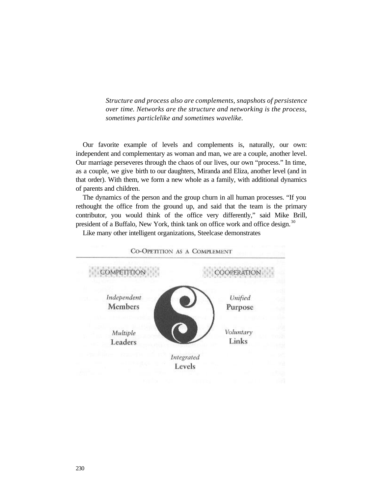*Structure and process also are complements, snapshots of persistence over time. Networks are the structure and networking is the process, sometimes particlelike and sometimes wavelike.*

Our favorite example of levels and complements is, naturally, our own: independent and complementary as woman and man, we are a couple, another level. Our marriage perseveres through the chaos of our lives, our own "process." In time, as a couple, we give birth to our daughters, Miranda and Eliza, another level (and in that order). With them, we form a new whole as a family, with additional dynamics of parents and children.

The dynamics of the person and the group churn in all human processes. "If you rethought the office from the ground up, and said that the team is the primary contributor, you would think of the office very differently," said Mike Brill, president of a Buffalo, New York, think tank on office work and office design.<sup>30</sup>

Like many other intelligent organizations, Steelcase demonstrates

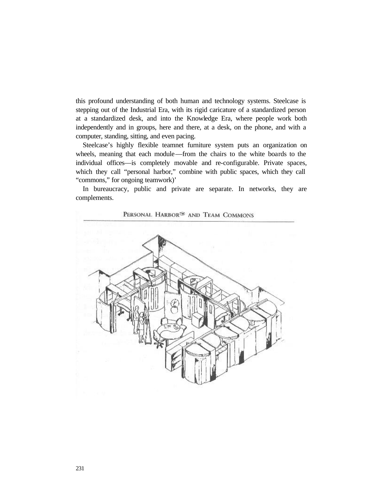this profound understanding of both human and technology systems. Steelcase is stepping out of the Industrial Era, with its rigid caricature of a standardized person at a standardized desk, and into the Knowledge Era, where people work both independently and in groups, here and there, at a desk, on the phone, and with a computer, standing, sitting, and even pacing.

Steelcase's highly flexible teamnet furniture system puts an organization on wheels, meaning that each module—from the chairs to the white boards to the individual offices—is completely movable and re-configurable. Private spaces, which they call "personal harbor," combine with public spaces, which they call "commons," for ongoing teamwork)'

In bureaucracy, public and private are separate. In networks, they are complements.



## PERSONAL HARBOR<sup>®</sup> AND TEAM COMMONS